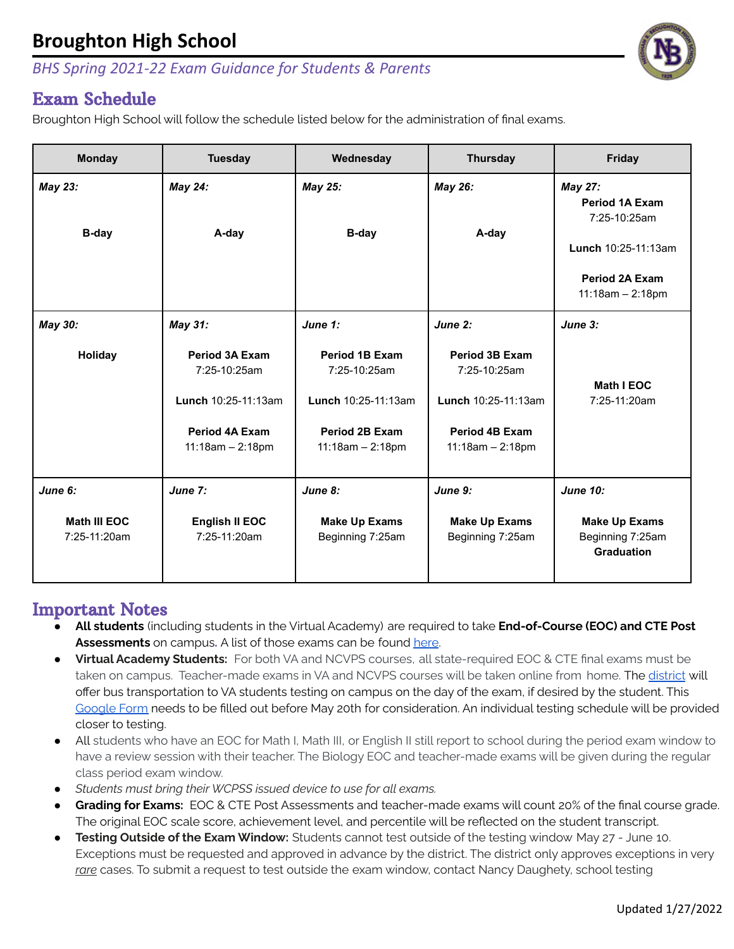## **Broughton High School**

#### *BHS Spring 2021-22 Exam Guidance for Students & Parents*

### Exam Schedule

Broughton High School will follow the schedule listed below for the administration of final exams.

| <b>Monday</b>                                  | <b>Tuesday</b>                                                                                       | Wednesday                                                                                            | <b>Thursday</b>                                                                               | Friday                                                                                                                        |
|------------------------------------------------|------------------------------------------------------------------------------------------------------|------------------------------------------------------------------------------------------------------|-----------------------------------------------------------------------------------------------|-------------------------------------------------------------------------------------------------------------------------------|
| May 23:<br><b>B-day</b>                        | May 24:<br>A-day                                                                                     | May 25:<br>B-day                                                                                     | May 26:<br>A-day                                                                              | <b>May 27:</b><br><b>Period 1A Exam</b><br>7:25-10:25am<br>Lunch 10:25-11:13am<br><b>Period 2A Exam</b><br>$11:18am - 2:18pm$ |
| May 30:                                        | May 31:                                                                                              | June 1:                                                                                              | June 2:                                                                                       | June 3:                                                                                                                       |
| <b>Holiday</b>                                 | <b>Period 3A Exam</b><br>7:25-10:25am<br>Lunch 10:25-11:13am<br>Period 4A Exam<br>$11:18am - 2:18pm$ | <b>Period 1B Exam</b><br>7:25-10:25am<br>Lunch 10:25-11:13am<br>Period 2B Exam<br>$11:18am - 2:18pm$ | Period 3B Exam<br>7:25-10:25am<br>Lunch 10:25-11:13am<br>Period 4B Exam<br>$11:18am - 2:18pm$ | Math I EOC<br>7:25-11:20am                                                                                                    |
| June 6:<br><b>Math III EOC</b><br>7:25-11:20am | June 7:<br><b>English II EOC</b><br>7:25-11:20am                                                     | June 8:<br><b>Make Up Exams</b><br>Beginning 7:25am                                                  | June 9:<br><b>Make Up Exams</b><br>Beginning 7:25am                                           | <b>June 10:</b><br><b>Make Up Exams</b><br>Beginning 7:25am<br><b>Graduation</b>                                              |

### Important Notes

- **All students** (including students in the Virtual Academy) are required to take **End-of-Course (EOC) and CTE Post** Assessments on campus. A list of those exams can be found [here](#page-1-0).
- **Virtual Academy Students:** For both VA and NCVPS courses, all state-required EOC & CTE final exams must be taken on campus. Teacher-made exams in VA and NCVPS courses will be taken online from home. The [district](https://wakeconnect.wcpss.net/sites/transportation/News/59596/request-testing-transportation-for-virtual-academy-students) will offer bus transportation to VA students testing on campus on the day of the exam, if desired by the student. This [Google](https://forms.gle/xYXAZytorkn7CvX26) Form needs to be filled out before May 20th for consideration. An individual testing schedule will be provided closer to testing.
- All students who have an EOC for Math I, Math III, or English II still report to school during the period exam window to have a review session with their teacher. The Biology EOC and teacher-made exams will be given during the regular class period exam window.
- **●** *Students must bring their WCPSS issued device to use for all exams.*
- Grading for Exams: EOC & CTE Post Assessments and teacher-made exams will count 20% of the final course grade. The original EOC scale score, achievement level, and percentile will be reflected on the student transcript.
- **● Testing Outside of the Exam Window:** Students cannot test outside of the testing window May 27 June 10. Exceptions must be requested and approved in advance by the district. The district only approves exceptions in very *rare* cases. To submit a request to test outside the exam window, contact Nancy Daughety, school testing